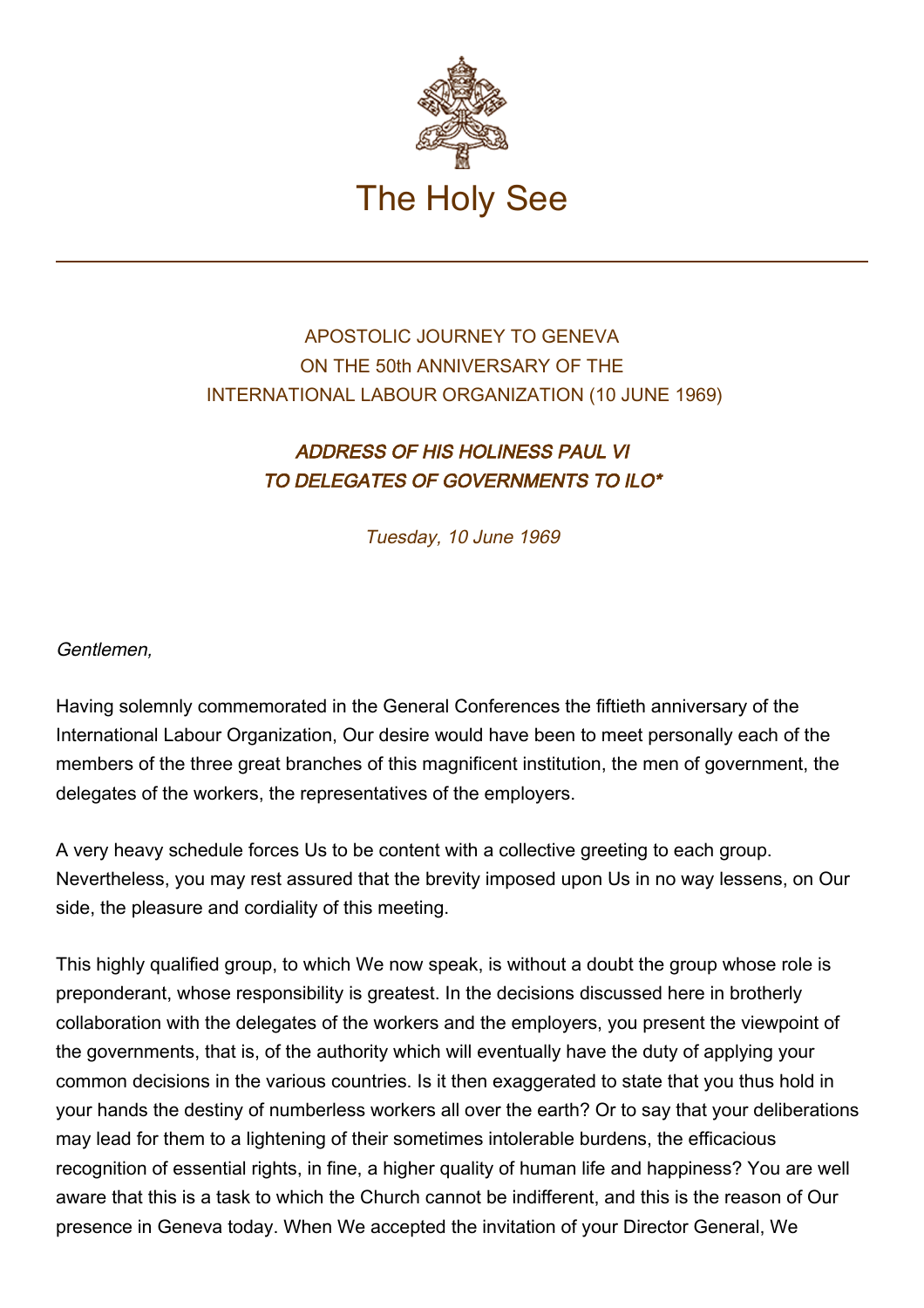

## APOSTOLIC JOURNEY TO GENEVA ON THE 50th ANNIVERSARY OF THE INTERNATIONAL LABOUR ORGANIZATION (10 JUNE 1969)

## ADDRESS OF HIS HOLINESS PAUL VI TO DELEGATES OF GOVERNMENTS TO ILO\*

Tuesday, 10 June 1969

## Gentlemen,

Having solemnly commemorated in the General Conferences the fiftieth anniversary of the International Labour Organization, Our desire would have been to meet personally each of the members of the three great branches of this magnificent institution, the men of government, the delegates of the workers, the representatives of the employers.

A very heavy schedule forces Us to be content with a collective greeting to each group. Nevertheless, you may rest assured that the brevity imposed upon Us in no way lessens, on Our side, the pleasure and cordiality of this meeting.

This highly qualified group, to which We now speak, is without a doubt the group whose role is preponderant, whose responsibility is greatest. In the decisions discussed here in brotherly collaboration with the delegates of the workers and the employers, you present the viewpoint of the governments, that is, of the authority which will eventually have the duty of applying your common decisions in the various countries. Is it then exaggerated to state that you thus hold in your hands the destiny of numberless workers all over the earth? Or to say that your deliberations may lead for them to a lightening of their sometimes intolerable burdens, the efficacious recognition of essential rights, in fine, a higher quality of human life and happiness? You are well aware that this is a task to which the Church cannot be indifferent, and this is the reason of Our presence in Geneva today. When We accepted the invitation of your Director General, We